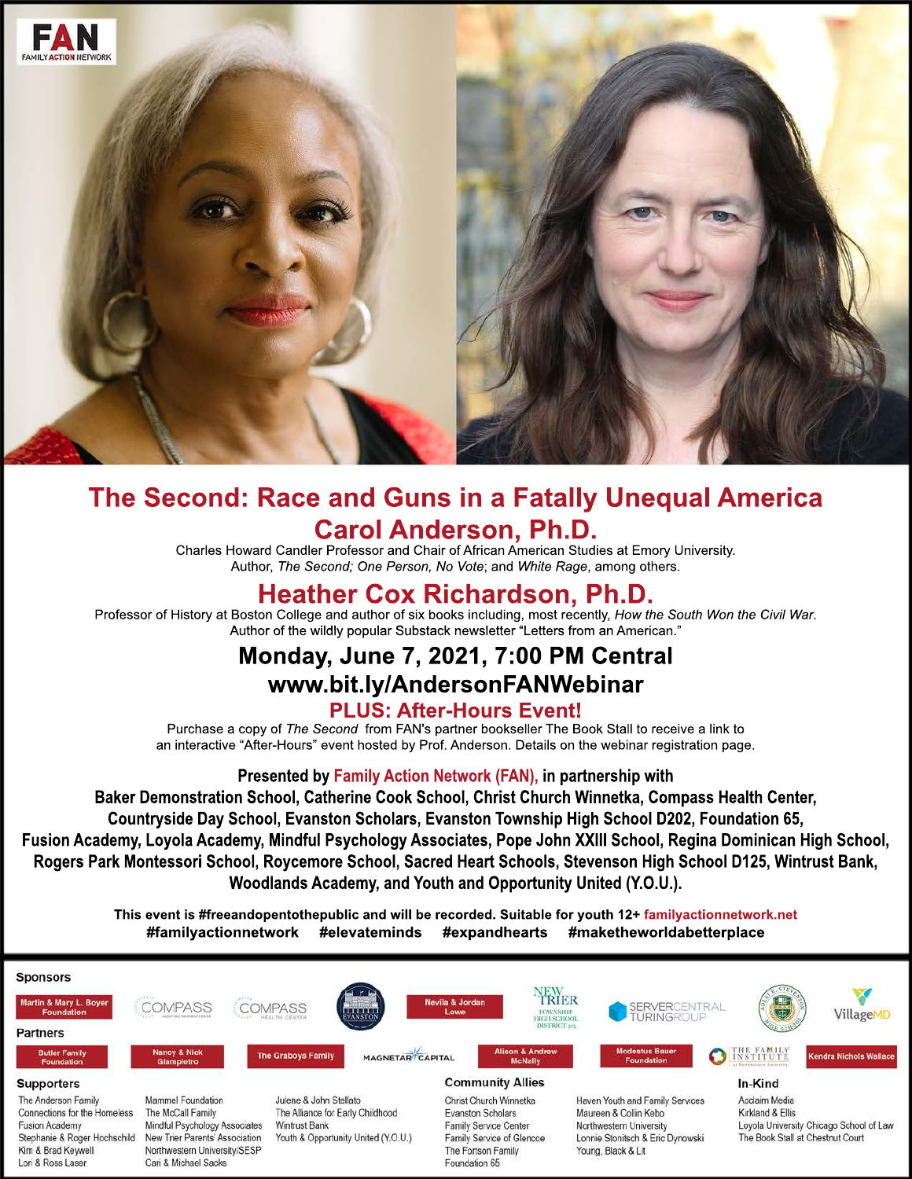

# **The Second: Race and Guns in a Fatally Unequal America Carol Anderson, Ph.D.**

Charles Howard Candler Professor and Chair of African American Studies at Emory University. Author, *The Second; One Person, No Vote; and White Rage, among others.* 

# **Heather Cox Richardson, Ph.D.**

Professor of History at Boston College and author of six books including, most recently, *How the South Won the Civil War*. Author of the wildly popular Substack newsletter "Letters from an American."

# **Monday, June 7, 2021, 7:00 PM Central www.bit.ly/AndersonFANWebinar**

## **PLUS: After-Hours Event!**

Purchase a copy of *The Second* from FAN's partner bookseller The Book Stall to receive a link to an interactive "After-Hours" event hosted by Prof. Anderson. Details on the webinar registration page.

## **Presented by Family Action Network (FAN), in partnership with**

**Baker Demonstration School, Catherine Cook School, Christ Church Winnetka, Compass Health Center, Countryside Day School, Evanston Scholars, Evanston Township High School D202, Foundation 65, Fusion Academy, Loyola Academy, Mindful Psychology Associates, Pope John XXIII School, Regina Dominican High School, Rogers Park Montessori School, Roycemore School, Sacred Heart Schools, Stevenson High School D125, Wintrust Bank, Woodlands Academy, and Youth and Opportunity United (Y.O.U.).**

> **This event is #freeandopentothepublic and will be recorded. Suitable for youth 12+ familyactionnetwork.net #familyactionnetwork #elevateminds #expandhearts #maketheworldabetterplace**



Foundation 65

Lori & Ross Laser

Cari & Michael Sacks